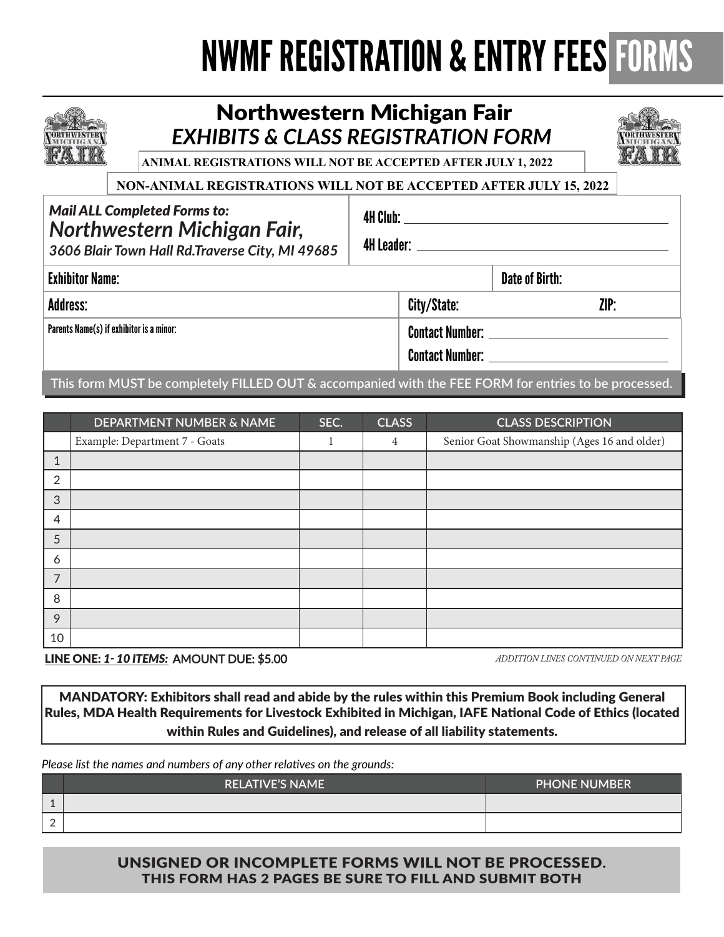## NWMF REGISTRATION & ENTRY FEES FORMS

4H Club:



## Northwestern Michigan Fair *EXHIBITS & CLASS REGISTRATION FORM*



**ANIMAL REGISTRATIONS WILL NOT BE ACCEPTED AFTER JULY 1, 2022**

#### **NON-ANIMAL REGISTRATIONS WILL NOT BE ACCEPTED AFTER JULY 15, 2022**

### *Mail ALL Completed Forms to: Northwestern Michigan Fair,*

*3606 Blair Town Hall Rd.Traverse City, MI 49685*

| 4H Leader: L |  |
|--------------|--|

| <b>Exhibitor Name:</b>                   |                                                  | <b>Date of Birth:</b> |
|------------------------------------------|--------------------------------------------------|-----------------------|
| <b>Address:</b>                          | City/State:                                      | ZIP:                  |
| Parents Name(s) if exhibitor is a minor: | <b>Contact Number:</b><br><b>Contact Number:</b> |                       |
|                                          |                                                  |                       |

**This form MUST be completely FILLED OUT & accompanied with the FEE FORM for entries to be processed.**

|                | DEPARTMENT NUMBER & NAME      | SEC. | <b>CLASS</b>   | <b>CLASS DESCRIPTION</b>                    |
|----------------|-------------------------------|------|----------------|---------------------------------------------|
|                | Example: Department 7 - Goats |      | $\overline{4}$ | Senior Goat Showmanship (Ages 16 and older) |
| 1              |                               |      |                |                                             |
| $\overline{2}$ |                               |      |                |                                             |
| 3              |                               |      |                |                                             |
| 4              |                               |      |                |                                             |
| 5              |                               |      |                |                                             |
| 6              |                               |      |                |                                             |
| $\overline{7}$ |                               |      |                |                                             |
| 8              |                               |      |                |                                             |
| 9              |                               |      |                |                                             |
| 10             |                               |      |                |                                             |

LINE ONE: *1- 10 ITEMS:* AMOUNT DUE: \$5.00

*ADDITION LINES CONTINUED ON NEXT PAGE*

MANDATORY: Exhibitors shall read and abide by the rules within this Premium Book including General Rules, MDA Health Requirements for Livestock Exhibited in Michigan, IAFE National Code of Ethics (located within Rules and Guidelines), and release of all liability statements.

*Please list the names and numbers of any other relatives on the grounds:*

|                          | <b>RELATIVE'S NAME</b> | <b>PHONE NUMBER</b> |
|--------------------------|------------------------|---------------------|
| $\overline{\phantom{a}}$ |                        |                     |
| -                        |                        |                     |

#### UNSIGNED OR INCOMPLETE FORMS WILL NOT BE PROCESSED. THIS FORM HAS 2 PAGES BE SURE TO FILL AND SUBMIT BOTH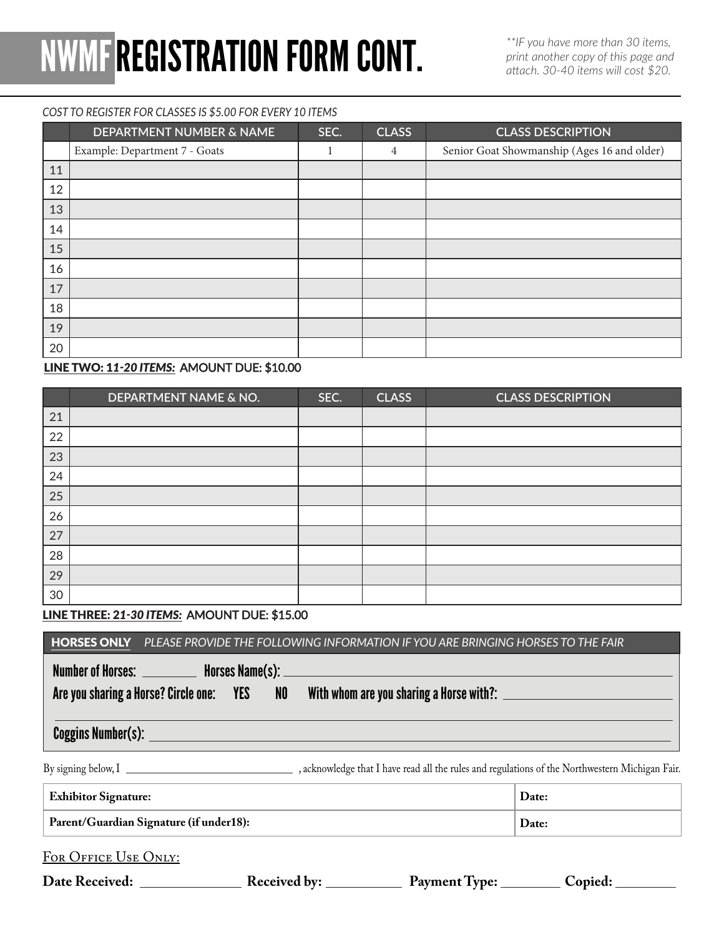# NWMFREGISTRATION FORM CONT.

*\*\*IF you have more than 30 items, print another copy of this page and attach. 30-40 items will cost \$20.*

#### *COST TO REGISTER FOR CLASSES IS \$5.00 FOR EVERY 10 ITEMS*

|    | <b>DEPARTMENT NUMBER &amp; NAME</b> | SEC. | <b>CLASS</b> | <b>CLASS DESCRIPTION</b>                    |
|----|-------------------------------------|------|--------------|---------------------------------------------|
|    | Example: Department 7 - Goats       |      | 4            | Senior Goat Showmanship (Ages 16 and older) |
| 11 |                                     |      |              |                                             |
| 12 |                                     |      |              |                                             |
| 13 |                                     |      |              |                                             |
| 14 |                                     |      |              |                                             |
| 15 |                                     |      |              |                                             |
| 16 |                                     |      |              |                                             |
| 17 |                                     |      |              |                                             |
| 18 |                                     |      |              |                                             |
| 19 |                                     |      |              |                                             |
| 20 |                                     |      |              |                                             |

#### LINE TWO: 1*1-20 ITEMS:* AMOUNT DUE: \$10.00

|    | DEPARTMENT NAME & NO. | SEC. | <b>CLASS</b> | <b>CLASS DESCRIPTION</b> |
|----|-----------------------|------|--------------|--------------------------|
| 21 |                       |      |              |                          |
| 22 |                       |      |              |                          |
| 23 |                       |      |              |                          |
| 24 |                       |      |              |                          |
| 25 |                       |      |              |                          |
| 26 |                       |      |              |                          |
| 27 |                       |      |              |                          |
| 28 |                       |      |              |                          |
| 29 |                       |      |              |                          |
| 30 |                       |      |              |                          |

LINE THREE: 2*1-30 ITEMS:* AMOUNT DUE: \$15.00

|                                         | Number of Horses: ___________ Horses Name(s): __________________________________<br>Are you sharing a Horse? Circle one: YES NOWith whom are you sharing a Horse with?: |       |  |
|-----------------------------------------|-------------------------------------------------------------------------------------------------------------------------------------------------------------------------|-------|--|
|                                         |                                                                                                                                                                         |       |  |
|                                         |                                                                                                                                                                         |       |  |
| <b>Exhibitor Signature:</b>             |                                                                                                                                                                         | Date: |  |
| Parent/Guardian Signature (if under18): |                                                                                                                                                                         | Date: |  |
|                                         |                                                                                                                                                                         |       |  |
| FOR OFFICE USE ONLY:                    |                                                                                                                                                                         |       |  |